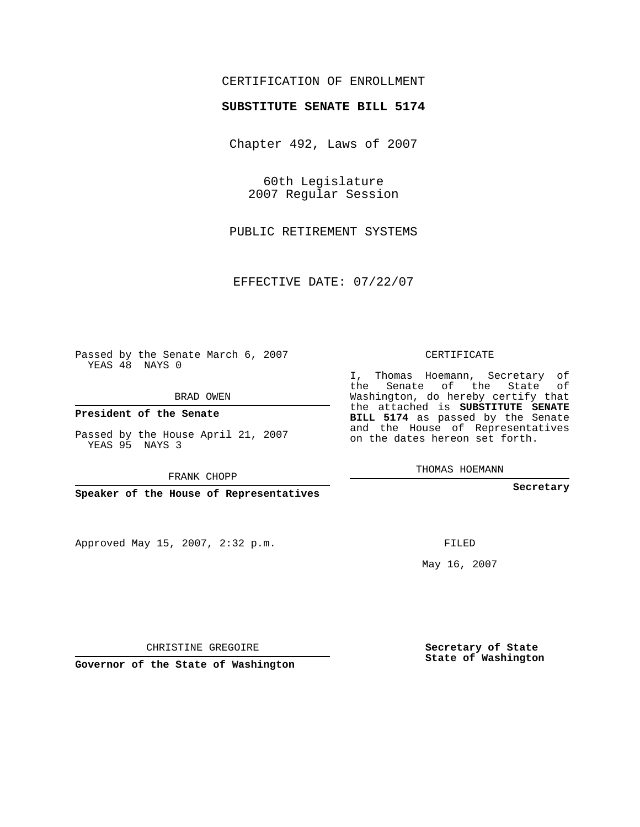## CERTIFICATION OF ENROLLMENT

#### **SUBSTITUTE SENATE BILL 5174**

Chapter 492, Laws of 2007

60th Legislature 2007 Regular Session

PUBLIC RETIREMENT SYSTEMS

EFFECTIVE DATE: 07/22/07

Passed by the Senate March 6, 2007 YEAS 48 NAYS 0

BRAD OWEN

**President of the Senate**

Passed by the House April 21, 2007 YEAS 95 NAYS 3

FRANK CHOPP

**Speaker of the House of Representatives**

Approved May 15, 2007, 2:32 p.m.

CERTIFICATE

I, Thomas Hoemann, Secretary of the Senate of the State of Washington, do hereby certify that the attached is **SUBSTITUTE SENATE BILL 5174** as passed by the Senate and the House of Representatives on the dates hereon set forth.

THOMAS HOEMANN

**Secretary**

FILED

May 16, 2007

**Secretary of State State of Washington**

CHRISTINE GREGOIRE

**Governor of the State of Washington**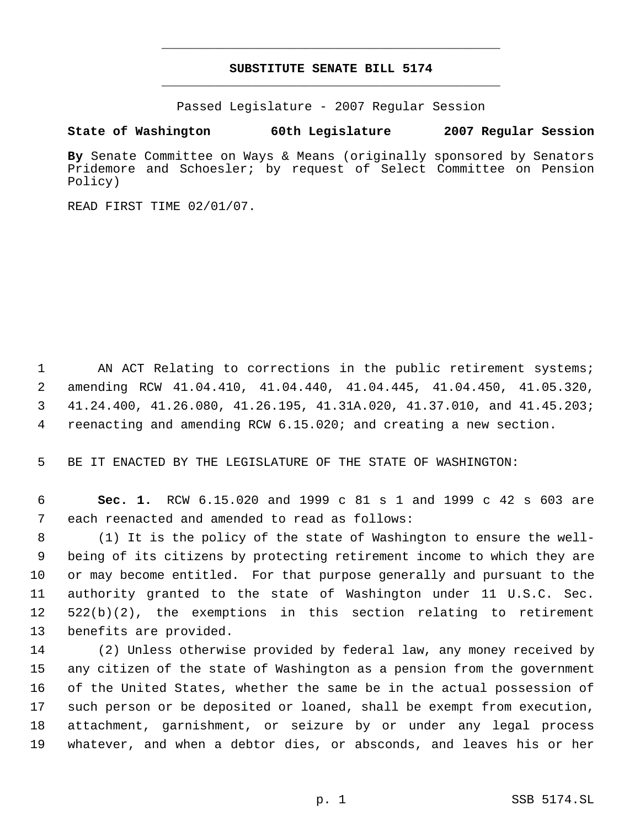## **SUBSTITUTE SENATE BILL 5174** \_\_\_\_\_\_\_\_\_\_\_\_\_\_\_\_\_\_\_\_\_\_\_\_\_\_\_\_\_\_\_\_\_\_\_\_\_\_\_\_\_\_\_\_\_

\_\_\_\_\_\_\_\_\_\_\_\_\_\_\_\_\_\_\_\_\_\_\_\_\_\_\_\_\_\_\_\_\_\_\_\_\_\_\_\_\_\_\_\_\_

Passed Legislature - 2007 Regular Session

#### **State of Washington 60th Legislature 2007 Regular Session**

**By** Senate Committee on Ways & Means (originally sponsored by Senators Pridemore and Schoesler; by request of Select Committee on Pension Policy)

READ FIRST TIME 02/01/07.

1 AN ACT Relating to corrections in the public retirement systems; amending RCW 41.04.410, 41.04.440, 41.04.445, 41.04.450, 41.05.320, 41.24.400, 41.26.080, 41.26.195, 41.31A.020, 41.37.010, and 41.45.203; reenacting and amending RCW 6.15.020; and creating a new section.

BE IT ENACTED BY THE LEGISLATURE OF THE STATE OF WASHINGTON:

 **Sec. 1.** RCW 6.15.020 and 1999 c 81 s 1 and 1999 c 42 s 603 are each reenacted and amended to read as follows:

 (1) It is the policy of the state of Washington to ensure the well- being of its citizens by protecting retirement income to which they are or may become entitled. For that purpose generally and pursuant to the authority granted to the state of Washington under 11 U.S.C. Sec. 522(b)(2), the exemptions in this section relating to retirement benefits are provided.

 (2) Unless otherwise provided by federal law, any money received by any citizen of the state of Washington as a pension from the government of the United States, whether the same be in the actual possession of such person or be deposited or loaned, shall be exempt from execution, attachment, garnishment, or seizure by or under any legal process whatever, and when a debtor dies, or absconds, and leaves his or her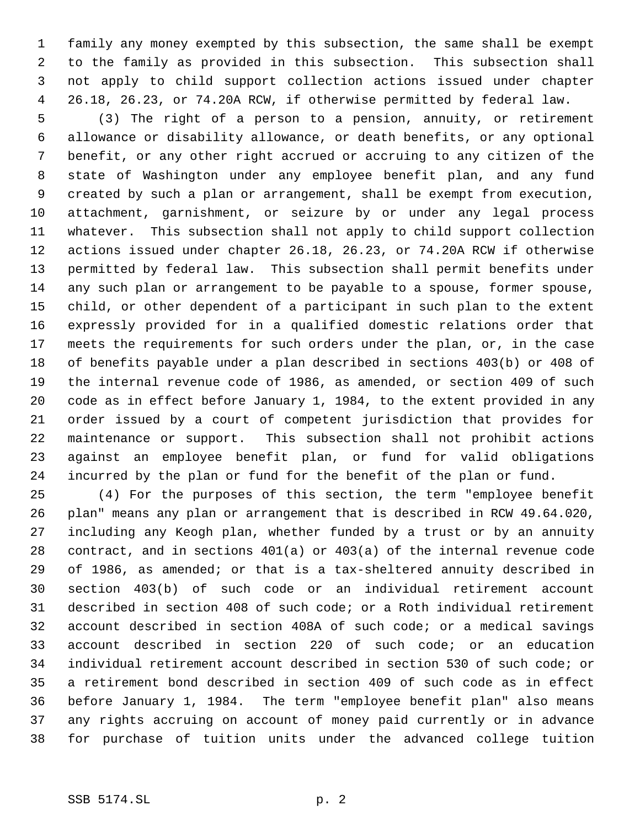family any money exempted by this subsection, the same shall be exempt to the family as provided in this subsection. This subsection shall not apply to child support collection actions issued under chapter 26.18, 26.23, or 74.20A RCW, if otherwise permitted by federal law.

 (3) The right of a person to a pension, annuity, or retirement allowance or disability allowance, or death benefits, or any optional benefit, or any other right accrued or accruing to any citizen of the state of Washington under any employee benefit plan, and any fund created by such a plan or arrangement, shall be exempt from execution, attachment, garnishment, or seizure by or under any legal process whatever. This subsection shall not apply to child support collection actions issued under chapter 26.18, 26.23, or 74.20A RCW if otherwise permitted by federal law. This subsection shall permit benefits under any such plan or arrangement to be payable to a spouse, former spouse, child, or other dependent of a participant in such plan to the extent expressly provided for in a qualified domestic relations order that meets the requirements for such orders under the plan, or, in the case of benefits payable under a plan described in sections 403(b) or 408 of the internal revenue code of 1986, as amended, or section 409 of such code as in effect before January 1, 1984, to the extent provided in any order issued by a court of competent jurisdiction that provides for maintenance or support. This subsection shall not prohibit actions against an employee benefit plan, or fund for valid obligations incurred by the plan or fund for the benefit of the plan or fund.

 (4) For the purposes of this section, the term "employee benefit plan" means any plan or arrangement that is described in RCW 49.64.020, including any Keogh plan, whether funded by a trust or by an annuity contract, and in sections 401(a) or 403(a) of the internal revenue code of 1986, as amended; or that is a tax-sheltered annuity described in section 403(b) of such code or an individual retirement account described in section 408 of such code; or a Roth individual retirement account described in section 408A of such code; or a medical savings account described in section 220 of such code; or an education individual retirement account described in section 530 of such code; or a retirement bond described in section 409 of such code as in effect before January 1, 1984. The term "employee benefit plan" also means any rights accruing on account of money paid currently or in advance for purchase of tuition units under the advanced college tuition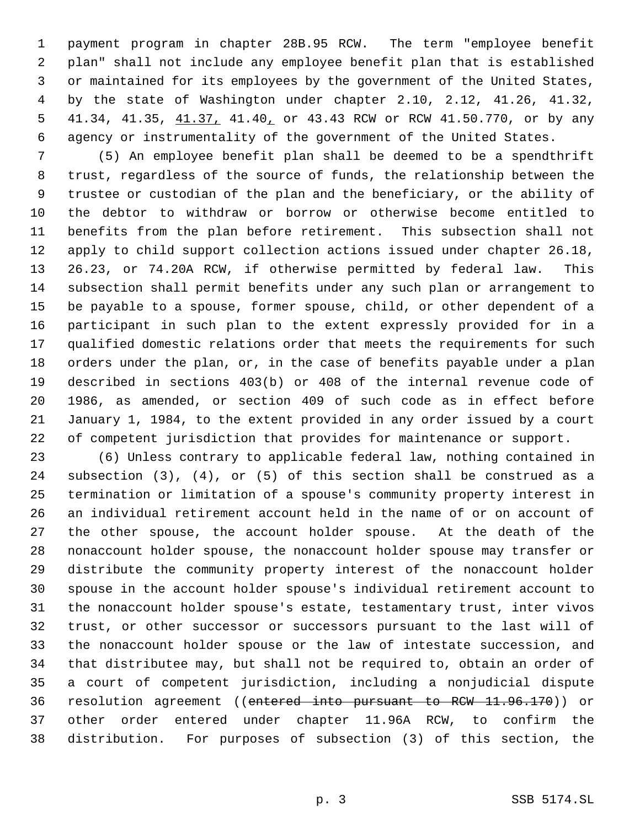payment program in chapter 28B.95 RCW. The term "employee benefit plan" shall not include any employee benefit plan that is established or maintained for its employees by the government of the United States, by the state of Washington under chapter 2.10, 2.12, 41.26, 41.32, 5 41.34, 41.35,  $41.37$ , 41.40, or 43.43 RCW or RCW 41.50.770, or by any agency or instrumentality of the government of the United States.

 (5) An employee benefit plan shall be deemed to be a spendthrift trust, regardless of the source of funds, the relationship between the trustee or custodian of the plan and the beneficiary, or the ability of the debtor to withdraw or borrow or otherwise become entitled to benefits from the plan before retirement. This subsection shall not apply to child support collection actions issued under chapter 26.18, 26.23, or 74.20A RCW, if otherwise permitted by federal law. This subsection shall permit benefits under any such plan or arrangement to be payable to a spouse, former spouse, child, or other dependent of a participant in such plan to the extent expressly provided for in a qualified domestic relations order that meets the requirements for such orders under the plan, or, in the case of benefits payable under a plan described in sections 403(b) or 408 of the internal revenue code of 1986, as amended, or section 409 of such code as in effect before January 1, 1984, to the extent provided in any order issued by a court of competent jurisdiction that provides for maintenance or support.

 (6) Unless contrary to applicable federal law, nothing contained in subsection (3), (4), or (5) of this section shall be construed as a termination or limitation of a spouse's community property interest in an individual retirement account held in the name of or on account of the other spouse, the account holder spouse. At the death of the nonaccount holder spouse, the nonaccount holder spouse may transfer or distribute the community property interest of the nonaccount holder spouse in the account holder spouse's individual retirement account to the nonaccount holder spouse's estate, testamentary trust, inter vivos trust, or other successor or successors pursuant to the last will of the nonaccount holder spouse or the law of intestate succession, and that distributee may, but shall not be required to, obtain an order of a court of competent jurisdiction, including a nonjudicial dispute resolution agreement ((entered into pursuant to RCW 11.96.170)) or other order entered under chapter 11.96A RCW, to confirm the distribution. For purposes of subsection (3) of this section, the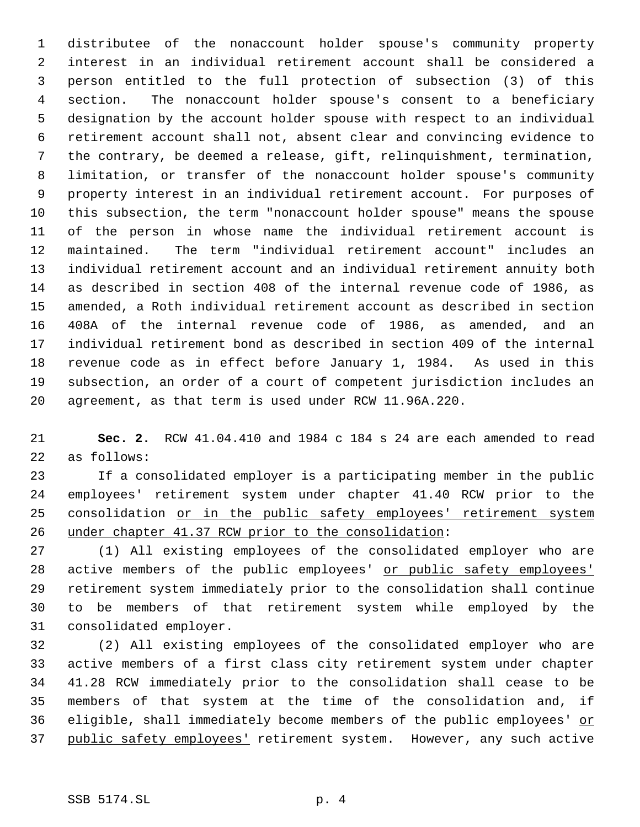distributee of the nonaccount holder spouse's community property interest in an individual retirement account shall be considered a person entitled to the full protection of subsection (3) of this section. The nonaccount holder spouse's consent to a beneficiary designation by the account holder spouse with respect to an individual retirement account shall not, absent clear and convincing evidence to the contrary, be deemed a release, gift, relinquishment, termination, limitation, or transfer of the nonaccount holder spouse's community property interest in an individual retirement account. For purposes of this subsection, the term "nonaccount holder spouse" means the spouse of the person in whose name the individual retirement account is maintained. The term "individual retirement account" includes an individual retirement account and an individual retirement annuity both as described in section 408 of the internal revenue code of 1986, as amended, a Roth individual retirement account as described in section 408A of the internal revenue code of 1986, as amended, and an individual retirement bond as described in section 409 of the internal revenue code as in effect before January 1, 1984. As used in this subsection, an order of a court of competent jurisdiction includes an agreement, as that term is used under RCW 11.96A.220.

 **Sec. 2.** RCW 41.04.410 and 1984 c 184 s 24 are each amended to read as follows:

 If a consolidated employer is a participating member in the public employees' retirement system under chapter 41.40 RCW prior to the 25 consolidation or in the public safety employees' retirement system under chapter 41.37 RCW prior to the consolidation:

 (1) All existing employees of the consolidated employer who are active members of the public employees' or public safety employees' retirement system immediately prior to the consolidation shall continue to be members of that retirement system while employed by the consolidated employer.

 (2) All existing employees of the consolidated employer who are active members of a first class city retirement system under chapter 41.28 RCW immediately prior to the consolidation shall cease to be members of that system at the time of the consolidation and, if 36 eligible, shall immediately become members of the public employees' or public safety employees' retirement system. However, any such active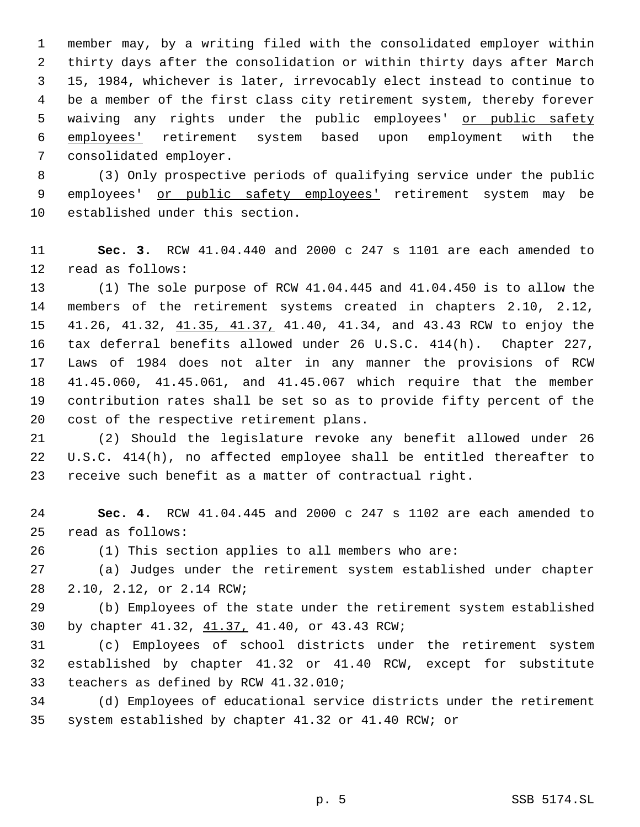member may, by a writing filed with the consolidated employer within thirty days after the consolidation or within thirty days after March 15, 1984, whichever is later, irrevocably elect instead to continue to be a member of the first class city retirement system, thereby forever 5 waiving any rights under the public employees' or public safety employees' retirement system based upon employment with the consolidated employer.

 (3) Only prospective periods of qualifying service under the public employees' or public safety employees' retirement system may be established under this section.

# **Sec. 3.** RCW 41.04.440 and 2000 c 247 s 1101 are each amended to read as follows:

 (1) The sole purpose of RCW 41.04.445 and 41.04.450 is to allow the members of the retirement systems created in chapters 2.10, 2.12, 41.26, 41.32, 41.35, 41.37, 41.40, 41.34, and 43.43 RCW to enjoy the tax deferral benefits allowed under 26 U.S.C. 414(h). Chapter 227, Laws of 1984 does not alter in any manner the provisions of RCW 41.45.060, 41.45.061, and 41.45.067 which require that the member contribution rates shall be set so as to provide fifty percent of the cost of the respective retirement plans.

 (2) Should the legislature revoke any benefit allowed under 26 U.S.C. 414(h), no affected employee shall be entitled thereafter to receive such benefit as a matter of contractual right.

 **Sec. 4.** RCW 41.04.445 and 2000 c 247 s 1102 are each amended to read as follows:

(1) This section applies to all members who are:

 (a) Judges under the retirement system established under chapter 2.10, 2.12, or 2.14 RCW;

 (b) Employees of the state under the retirement system established by chapter 41.32, 41.37, 41.40, or 43.43 RCW;

 (c) Employees of school districts under the retirement system established by chapter 41.32 or 41.40 RCW, except for substitute teachers as defined by RCW 41.32.010;

 (d) Employees of educational service districts under the retirement system established by chapter 41.32 or 41.40 RCW; or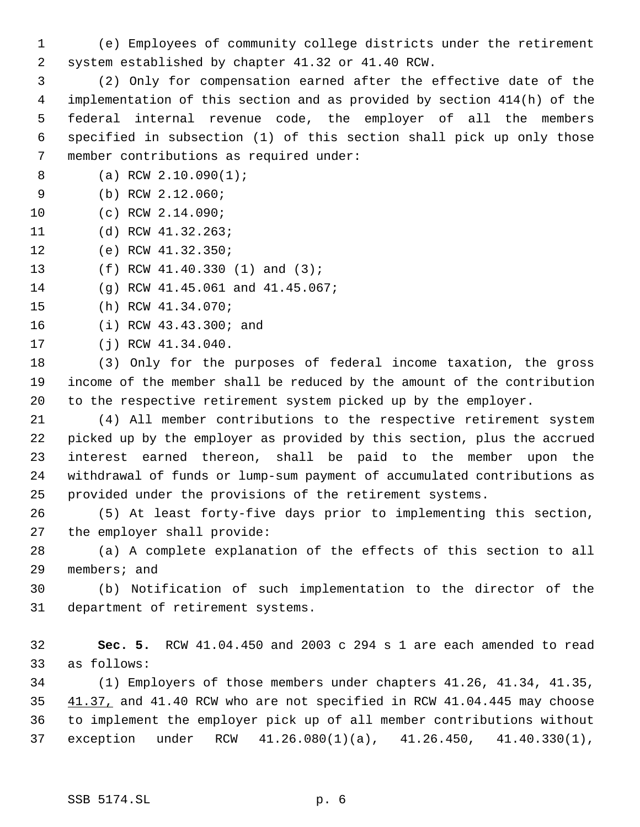(e) Employees of community college districts under the retirement system established by chapter 41.32 or 41.40 RCW.

 (2) Only for compensation earned after the effective date of the implementation of this section and as provided by section 414(h) of the federal internal revenue code, the employer of all the members specified in subsection (1) of this section shall pick up only those member contributions as required under:

- (a) RCW 2.10.090(1);
- (b) RCW 2.12.060;
- (c) RCW 2.14.090;
- (d) RCW 41.32.263;
- (e) RCW 41.32.350;
- (f) RCW 41.40.330 (1) and (3);

(g) RCW 41.45.061 and 41.45.067;

- (h) RCW 41.34.070;
- (i) RCW 43.43.300; and
- (j) RCW 41.34.040.

 (3) Only for the purposes of federal income taxation, the gross income of the member shall be reduced by the amount of the contribution to the respective retirement system picked up by the employer.

- (4) All member contributions to the respective retirement system picked up by the employer as provided by this section, plus the accrued interest earned thereon, shall be paid to the member upon the withdrawal of funds or lump-sum payment of accumulated contributions as provided under the provisions of the retirement systems.
- (5) At least forty-five days prior to implementing this section, the employer shall provide:

 (a) A complete explanation of the effects of this section to all members; and

 (b) Notification of such implementation to the director of the department of retirement systems.

 **Sec. 5.** RCW 41.04.450 and 2003 c 294 s 1 are each amended to read as follows:

 (1) Employers of those members under chapters 41.26, 41.34, 41.35, 41.37, and 41.40 RCW who are not specified in RCW 41.04.445 may choose to implement the employer pick up of all member contributions without exception under RCW 41.26.080(1)(a), 41.26.450, 41.40.330(1),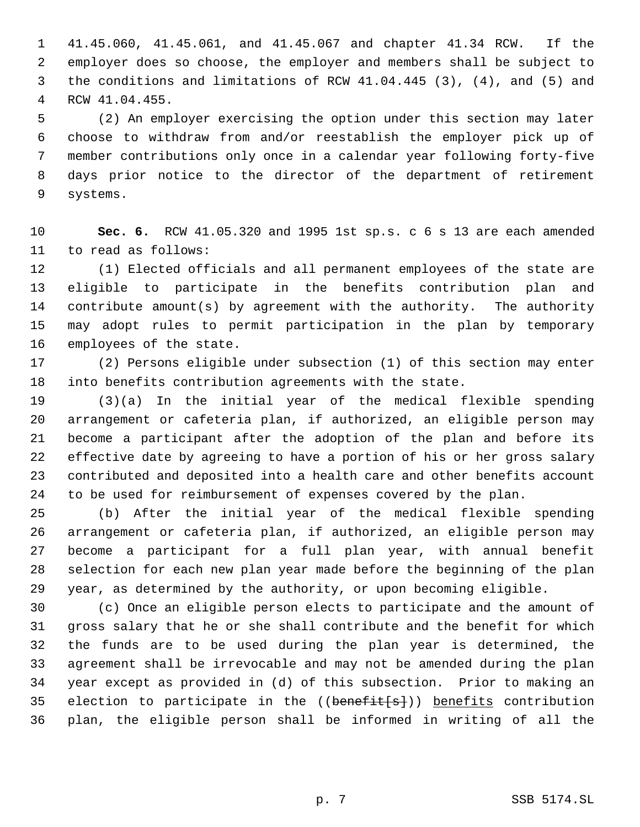41.45.060, 41.45.061, and 41.45.067 and chapter 41.34 RCW. If the employer does so choose, the employer and members shall be subject to the conditions and limitations of RCW 41.04.445 (3), (4), and (5) and RCW 41.04.455.

 (2) An employer exercising the option under this section may later choose to withdraw from and/or reestablish the employer pick up of member contributions only once in a calendar year following forty-five days prior notice to the director of the department of retirement systems.

 **Sec. 6.** RCW 41.05.320 and 1995 1st sp.s. c 6 s 13 are each amended to read as follows:

 (1) Elected officials and all permanent employees of the state are eligible to participate in the benefits contribution plan and contribute amount(s) by agreement with the authority. The authority may adopt rules to permit participation in the plan by temporary employees of the state.

 (2) Persons eligible under subsection (1) of this section may enter into benefits contribution agreements with the state.

 (3)(a) In the initial year of the medical flexible spending arrangement or cafeteria plan, if authorized, an eligible person may become a participant after the adoption of the plan and before its effective date by agreeing to have a portion of his or her gross salary contributed and deposited into a health care and other benefits account to be used for reimbursement of expenses covered by the plan.

 (b) After the initial year of the medical flexible spending arrangement or cafeteria plan, if authorized, an eligible person may become a participant for a full plan year, with annual benefit selection for each new plan year made before the beginning of the plan year, as determined by the authority, or upon becoming eligible.

 (c) Once an eligible person elects to participate and the amount of gross salary that he or she shall contribute and the benefit for which the funds are to be used during the plan year is determined, the agreement shall be irrevocable and may not be amended during the plan year except as provided in (d) of this subsection. Prior to making an 35 election to participate in the ((benefit[s])) benefits contribution plan, the eligible person shall be informed in writing of all the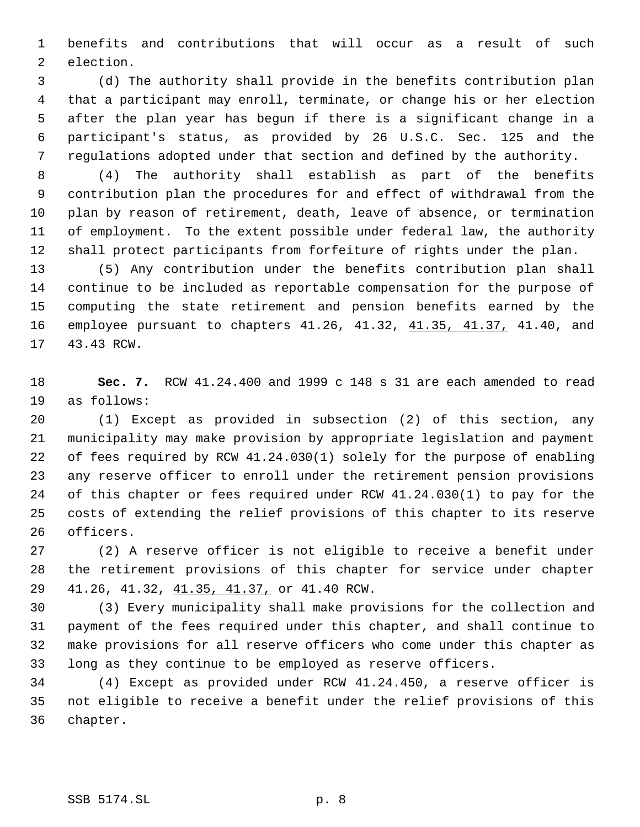benefits and contributions that will occur as a result of such election.

 (d) The authority shall provide in the benefits contribution plan that a participant may enroll, terminate, or change his or her election after the plan year has begun if there is a significant change in a participant's status, as provided by 26 U.S.C. Sec. 125 and the regulations adopted under that section and defined by the authority.

 (4) The authority shall establish as part of the benefits contribution plan the procedures for and effect of withdrawal from the plan by reason of retirement, death, leave of absence, or termination of employment. To the extent possible under federal law, the authority shall protect participants from forfeiture of rights under the plan.

 (5) Any contribution under the benefits contribution plan shall continue to be included as reportable compensation for the purpose of computing the state retirement and pension benefits earned by the 16 employee pursuant to chapters 41.26, 41.32, 41.35, 41.37, 41.40, and 43.43 RCW.

 **Sec. 7.** RCW 41.24.400 and 1999 c 148 s 31 are each amended to read as follows:

 (1) Except as provided in subsection (2) of this section, any municipality may make provision by appropriate legislation and payment of fees required by RCW 41.24.030(1) solely for the purpose of enabling any reserve officer to enroll under the retirement pension provisions of this chapter or fees required under RCW 41.24.030(1) to pay for the costs of extending the relief provisions of this chapter to its reserve officers.

 (2) A reserve officer is not eligible to receive a benefit under the retirement provisions of this chapter for service under chapter 29 41.26, 41.32, 41.35, 41.37, or 41.40 RCW.

 (3) Every municipality shall make provisions for the collection and payment of the fees required under this chapter, and shall continue to make provisions for all reserve officers who come under this chapter as long as they continue to be employed as reserve officers.

 (4) Except as provided under RCW 41.24.450, a reserve officer is not eligible to receive a benefit under the relief provisions of this chapter.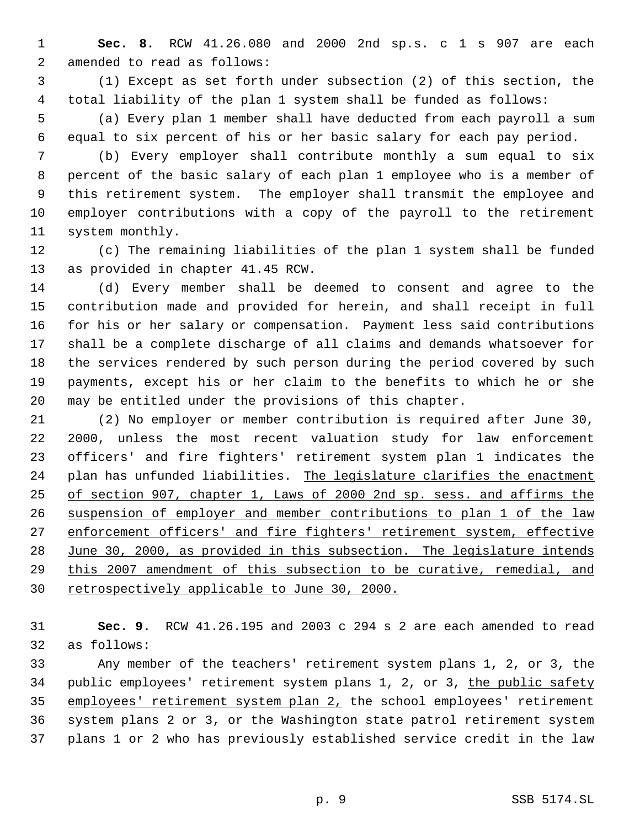**Sec. 8.** RCW 41.26.080 and 2000 2nd sp.s. c 1 s 907 are each amended to read as follows:

 (1) Except as set forth under subsection (2) of this section, the total liability of the plan 1 system shall be funded as follows:

 (a) Every plan 1 member shall have deducted from each payroll a sum equal to six percent of his or her basic salary for each pay period.

 (b) Every employer shall contribute monthly a sum equal to six percent of the basic salary of each plan 1 employee who is a member of this retirement system. The employer shall transmit the employee and employer contributions with a copy of the payroll to the retirement system monthly.

 (c) The remaining liabilities of the plan 1 system shall be funded as provided in chapter 41.45 RCW.

 (d) Every member shall be deemed to consent and agree to the contribution made and provided for herein, and shall receipt in full for his or her salary or compensation. Payment less said contributions shall be a complete discharge of all claims and demands whatsoever for the services rendered by such person during the period covered by such payments, except his or her claim to the benefits to which he or she may be entitled under the provisions of this chapter.

 (2) No employer or member contribution is required after June 30, 2000, unless the most recent valuation study for law enforcement officers' and fire fighters' retirement system plan 1 indicates the 24 plan has unfunded liabilities. The legislature clarifies the enactment of section 907, chapter 1, Laws of 2000 2nd sp. sess. and affirms the suspension of employer and member contributions to plan 1 of the law enforcement officers' and fire fighters' retirement system, effective 28 June 30, 2000, as provided in this subsection. The legislature intends this 2007 amendment of this subsection to be curative, remedial, and 30 retrospectively applicable to June 30, 2000.

 **Sec. 9.** RCW 41.26.195 and 2003 c 294 s 2 are each amended to read as follows:

 Any member of the teachers' retirement system plans 1, 2, or 3, the 34 public employees' retirement system plans 1, 2, or 3, the public safety employees' retirement system plan 2, the school employees' retirement system plans 2 or 3, or the Washington state patrol retirement system plans 1 or 2 who has previously established service credit in the law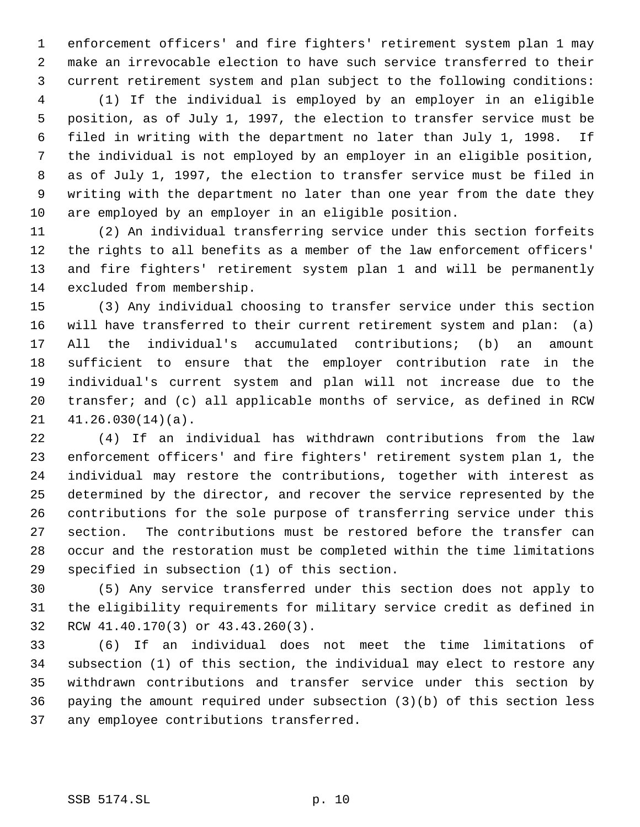enforcement officers' and fire fighters' retirement system plan 1 may make an irrevocable election to have such service transferred to their current retirement system and plan subject to the following conditions:

 (1) If the individual is employed by an employer in an eligible position, as of July 1, 1997, the election to transfer service must be filed in writing with the department no later than July 1, 1998. If the individual is not employed by an employer in an eligible position, as of July 1, 1997, the election to transfer service must be filed in writing with the department no later than one year from the date they are employed by an employer in an eligible position.

 (2) An individual transferring service under this section forfeits the rights to all benefits as a member of the law enforcement officers' and fire fighters' retirement system plan 1 and will be permanently excluded from membership.

 (3) Any individual choosing to transfer service under this section will have transferred to their current retirement system and plan: (a) All the individual's accumulated contributions; (b) an amount sufficient to ensure that the employer contribution rate in the individual's current system and plan will not increase due to the transfer; and (c) all applicable months of service, as defined in RCW 41.26.030(14)(a).

 (4) If an individual has withdrawn contributions from the law enforcement officers' and fire fighters' retirement system plan 1, the individual may restore the contributions, together with interest as determined by the director, and recover the service represented by the contributions for the sole purpose of transferring service under this section. The contributions must be restored before the transfer can occur and the restoration must be completed within the time limitations specified in subsection (1) of this section.

 (5) Any service transferred under this section does not apply to the eligibility requirements for military service credit as defined in RCW 41.40.170(3) or 43.43.260(3).

 (6) If an individual does not meet the time limitations of subsection (1) of this section, the individual may elect to restore any withdrawn contributions and transfer service under this section by paying the amount required under subsection (3)(b) of this section less any employee contributions transferred.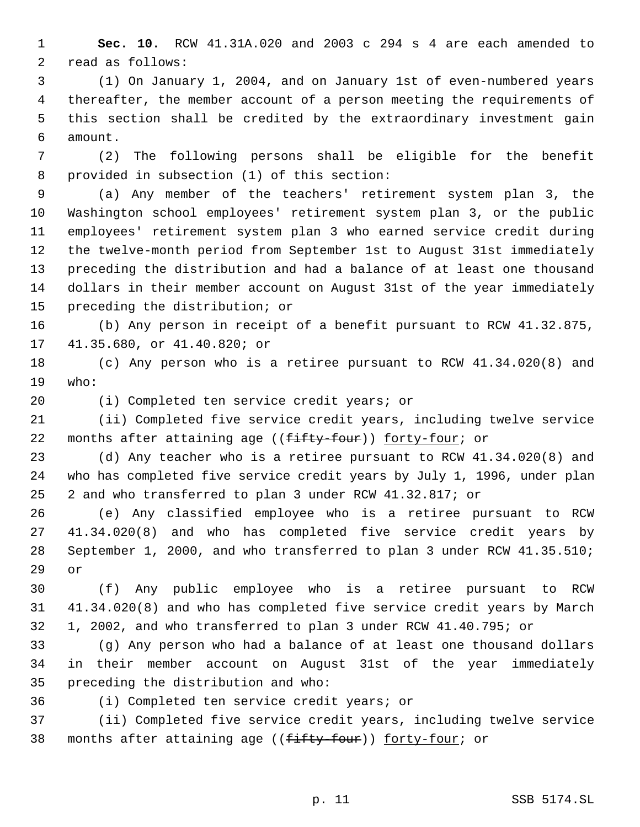**Sec. 10.** RCW 41.31A.020 and 2003 c 294 s 4 are each amended to read as follows:

 (1) On January 1, 2004, and on January 1st of even-numbered years thereafter, the member account of a person meeting the requirements of this section shall be credited by the extraordinary investment gain amount.

 (2) The following persons shall be eligible for the benefit provided in subsection (1) of this section:

 (a) Any member of the teachers' retirement system plan 3, the Washington school employees' retirement system plan 3, or the public employees' retirement system plan 3 who earned service credit during the twelve-month period from September 1st to August 31st immediately preceding the distribution and had a balance of at least one thousand dollars in their member account on August 31st of the year immediately preceding the distribution; or

 (b) Any person in receipt of a benefit pursuant to RCW 41.32.875, 41.35.680, or 41.40.820; or

 (c) Any person who is a retiree pursuant to RCW 41.34.020(8) and who:

(i) Completed ten service credit years; or

 (ii) Completed five service credit years, including twelve service 22 months after attaining age ((fifty-four)) forty-four; or

 (d) Any teacher who is a retiree pursuant to RCW 41.34.020(8) and who has completed five service credit years by July 1, 1996, under plan 2 and who transferred to plan 3 under RCW 41.32.817; or

 (e) Any classified employee who is a retiree pursuant to RCW 41.34.020(8) and who has completed five service credit years by September 1, 2000, and who transferred to plan 3 under RCW 41.35.510; or

 (f) Any public employee who is a retiree pursuant to RCW 41.34.020(8) and who has completed five service credit years by March 1, 2002, and who transferred to plan 3 under RCW 41.40.795; or

 (g) Any person who had a balance of at least one thousand dollars in their member account on August 31st of the year immediately preceding the distribution and who:

(i) Completed ten service credit years; or

 (ii) Completed five service credit years, including twelve service 38 months after attaining age ((fifty-four)) forty-four; or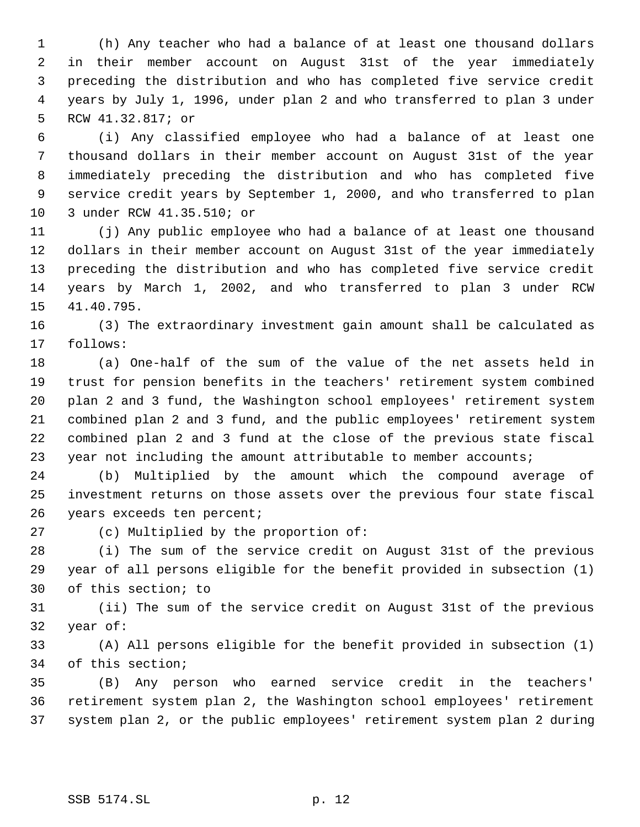(h) Any teacher who had a balance of at least one thousand dollars in their member account on August 31st of the year immediately preceding the distribution and who has completed five service credit years by July 1, 1996, under plan 2 and who transferred to plan 3 under RCW 41.32.817; or

 (i) Any classified employee who had a balance of at least one thousand dollars in their member account on August 31st of the year immediately preceding the distribution and who has completed five service credit years by September 1, 2000, and who transferred to plan 3 under RCW 41.35.510; or

 (j) Any public employee who had a balance of at least one thousand dollars in their member account on August 31st of the year immediately preceding the distribution and who has completed five service credit years by March 1, 2002, and who transferred to plan 3 under RCW 41.40.795.

 (3) The extraordinary investment gain amount shall be calculated as follows:

 (a) One-half of the sum of the value of the net assets held in trust for pension benefits in the teachers' retirement system combined plan 2 and 3 fund, the Washington school employees' retirement system combined plan 2 and 3 fund, and the public employees' retirement system combined plan 2 and 3 fund at the close of the previous state fiscal year not including the amount attributable to member accounts;

 (b) Multiplied by the amount which the compound average of investment returns on those assets over the previous four state fiscal years exceeds ten percent;

(c) Multiplied by the proportion of:

 (i) The sum of the service credit on August 31st of the previous year of all persons eligible for the benefit provided in subsection (1) of this section; to

 (ii) The sum of the service credit on August 31st of the previous year of:

 (A) All persons eligible for the benefit provided in subsection (1) of this section;

 (B) Any person who earned service credit in the teachers' retirement system plan 2, the Washington school employees' retirement system plan 2, or the public employees' retirement system plan 2 during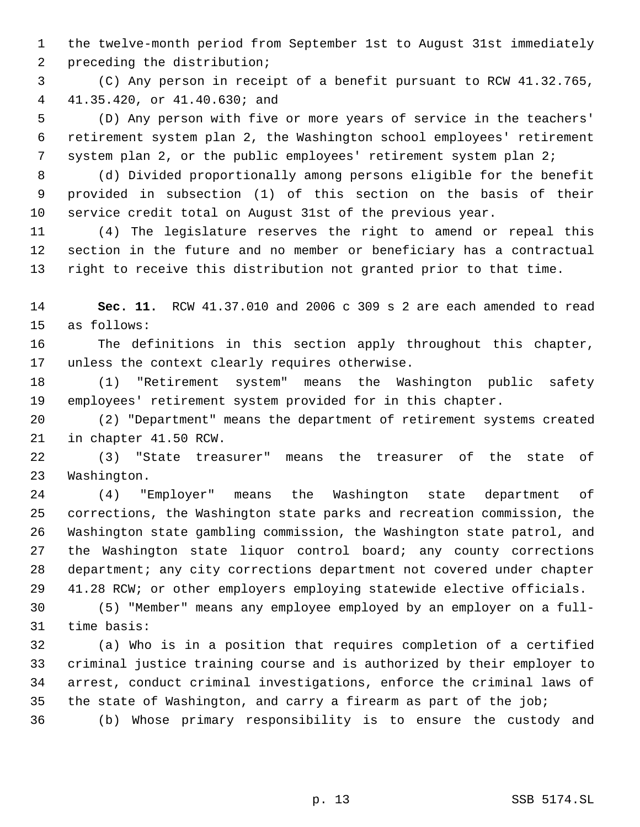the twelve-month period from September 1st to August 31st immediately preceding the distribution;

 (C) Any person in receipt of a benefit pursuant to RCW 41.32.765, 41.35.420, or 41.40.630; and

 (D) Any person with five or more years of service in the teachers' retirement system plan 2, the Washington school employees' retirement 7 system plan 2, or the public employees' retirement system plan 2;

 (d) Divided proportionally among persons eligible for the benefit provided in subsection (1) of this section on the basis of their service credit total on August 31st of the previous year.

 (4) The legislature reserves the right to amend or repeal this section in the future and no member or beneficiary has a contractual right to receive this distribution not granted prior to that time.

 **Sec. 11.** RCW 41.37.010 and 2006 c 309 s 2 are each amended to read as follows:

 The definitions in this section apply throughout this chapter, unless the context clearly requires otherwise.

 (1) "Retirement system" means the Washington public safety employees' retirement system provided for in this chapter.

 (2) "Department" means the department of retirement systems created in chapter 41.50 RCW.

 (3) "State treasurer" means the treasurer of the state of Washington.

 (4) "Employer" means the Washington state department of corrections, the Washington state parks and recreation commission, the Washington state gambling commission, the Washington state patrol, and the Washington state liquor control board; any county corrections department; any city corrections department not covered under chapter 41.28 RCW; or other employers employing statewide elective officials.

 (5) "Member" means any employee employed by an employer on a full-time basis:

 (a) Who is in a position that requires completion of a certified criminal justice training course and is authorized by their employer to arrest, conduct criminal investigations, enforce the criminal laws of the state of Washington, and carry a firearm as part of the job;

(b) Whose primary responsibility is to ensure the custody and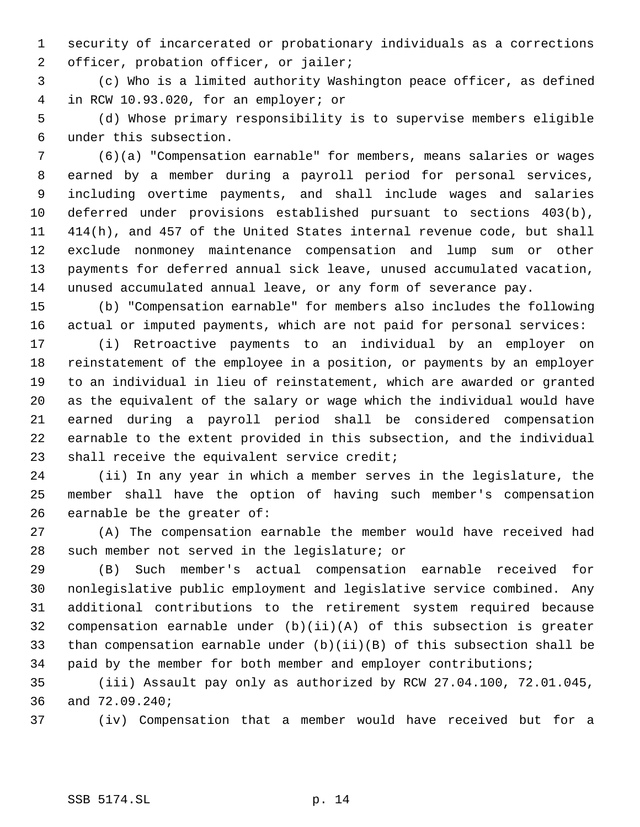security of incarcerated or probationary individuals as a corrections officer, probation officer, or jailer;

 (c) Who is a limited authority Washington peace officer, as defined in RCW 10.93.020, for an employer; or

 (d) Whose primary responsibility is to supervise members eligible under this subsection.

 (6)(a) "Compensation earnable" for members, means salaries or wages earned by a member during a payroll period for personal services, including overtime payments, and shall include wages and salaries deferred under provisions established pursuant to sections 403(b), 414(h), and 457 of the United States internal revenue code, but shall exclude nonmoney maintenance compensation and lump sum or other payments for deferred annual sick leave, unused accumulated vacation, unused accumulated annual leave, or any form of severance pay.

 (b) "Compensation earnable" for members also includes the following actual or imputed payments, which are not paid for personal services:

 (i) Retroactive payments to an individual by an employer on reinstatement of the employee in a position, or payments by an employer to an individual in lieu of reinstatement, which are awarded or granted as the equivalent of the salary or wage which the individual would have earned during a payroll period shall be considered compensation earnable to the extent provided in this subsection, and the individual shall receive the equivalent service credit;

 (ii) In any year in which a member serves in the legislature, the member shall have the option of having such member's compensation earnable be the greater of:

 (A) The compensation earnable the member would have received had such member not served in the legislature; or

 (B) Such member's actual compensation earnable received for nonlegislative public employment and legislative service combined. Any additional contributions to the retirement system required because compensation earnable under (b)(ii)(A) of this subsection is greater than compensation earnable under (b)(ii)(B) of this subsection shall be paid by the member for both member and employer contributions;

 (iii) Assault pay only as authorized by RCW 27.04.100, 72.01.045, and 72.09.240;

(iv) Compensation that a member would have received but for a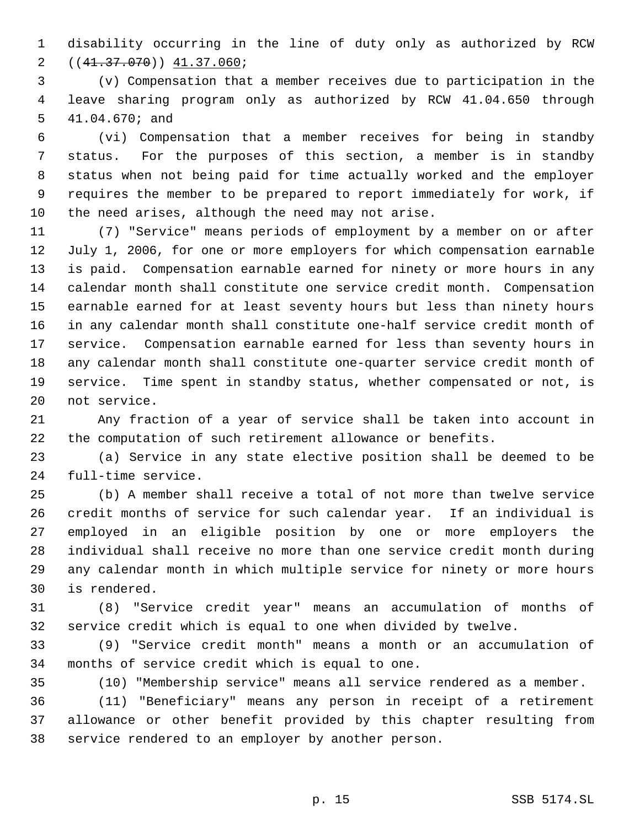disability occurring in the line of duty only as authorized by RCW ((41.37.070)) 41.37.060;

 (v) Compensation that a member receives due to participation in the leave sharing program only as authorized by RCW 41.04.650 through 41.04.670; and

 (vi) Compensation that a member receives for being in standby status. For the purposes of this section, a member is in standby status when not being paid for time actually worked and the employer requires the member to be prepared to report immediately for work, if the need arises, although the need may not arise.

 (7) "Service" means periods of employment by a member on or after July 1, 2006, for one or more employers for which compensation earnable is paid. Compensation earnable earned for ninety or more hours in any calendar month shall constitute one service credit month. Compensation earnable earned for at least seventy hours but less than ninety hours in any calendar month shall constitute one-half service credit month of service. Compensation earnable earned for less than seventy hours in any calendar month shall constitute one-quarter service credit month of service. Time spent in standby status, whether compensated or not, is not service.

 Any fraction of a year of service shall be taken into account in the computation of such retirement allowance or benefits.

 (a) Service in any state elective position shall be deemed to be full-time service.

 (b) A member shall receive a total of not more than twelve service credit months of service for such calendar year. If an individual is employed in an eligible position by one or more employers the individual shall receive no more than one service credit month during any calendar month in which multiple service for ninety or more hours is rendered.

 (8) "Service credit year" means an accumulation of months of service credit which is equal to one when divided by twelve.

 (9) "Service credit month" means a month or an accumulation of months of service credit which is equal to one.

(10) "Membership service" means all service rendered as a member.

 (11) "Beneficiary" means any person in receipt of a retirement allowance or other benefit provided by this chapter resulting from service rendered to an employer by another person.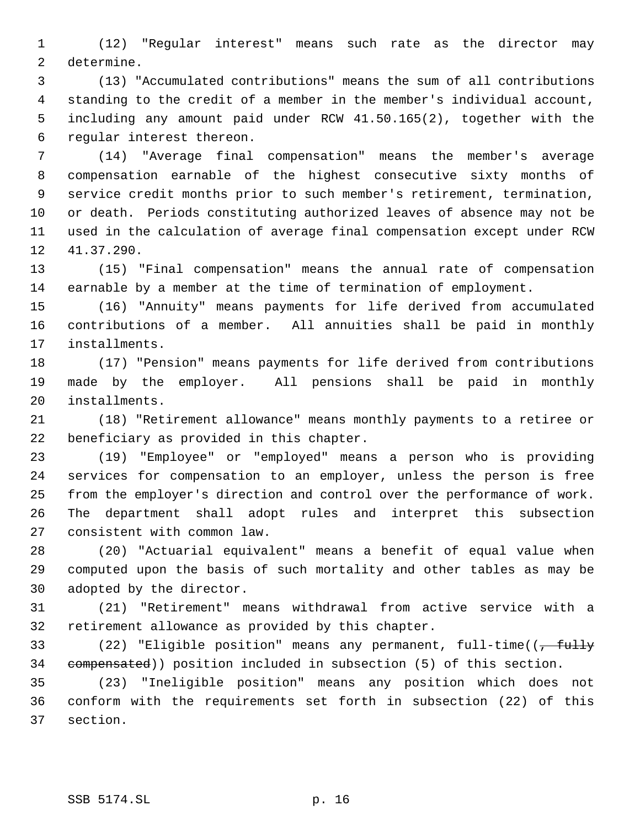(12) "Regular interest" means such rate as the director may determine.

 (13) "Accumulated contributions" means the sum of all contributions standing to the credit of a member in the member's individual account, including any amount paid under RCW 41.50.165(2), together with the regular interest thereon.

 (14) "Average final compensation" means the member's average compensation earnable of the highest consecutive sixty months of service credit months prior to such member's retirement, termination, or death. Periods constituting authorized leaves of absence may not be used in the calculation of average final compensation except under RCW 41.37.290.

 (15) "Final compensation" means the annual rate of compensation earnable by a member at the time of termination of employment.

 (16) "Annuity" means payments for life derived from accumulated contributions of a member. All annuities shall be paid in monthly installments.

 (17) "Pension" means payments for life derived from contributions made by the employer. All pensions shall be paid in monthly installments.

 (18) "Retirement allowance" means monthly payments to a retiree or beneficiary as provided in this chapter.

 (19) "Employee" or "employed" means a person who is providing services for compensation to an employer, unless the person is free from the employer's direction and control over the performance of work. The department shall adopt rules and interpret this subsection consistent with common law.

 (20) "Actuarial equivalent" means a benefit of equal value when computed upon the basis of such mortality and other tables as may be adopted by the director.

 (21) "Retirement" means withdrawal from active service with a retirement allowance as provided by this chapter.

33 (22) "Eligible position" means any permanent, full-time( $\frac{1}{t}$ tully compensated)) position included in subsection (5) of this section.

 (23) "Ineligible position" means any position which does not conform with the requirements set forth in subsection (22) of this section.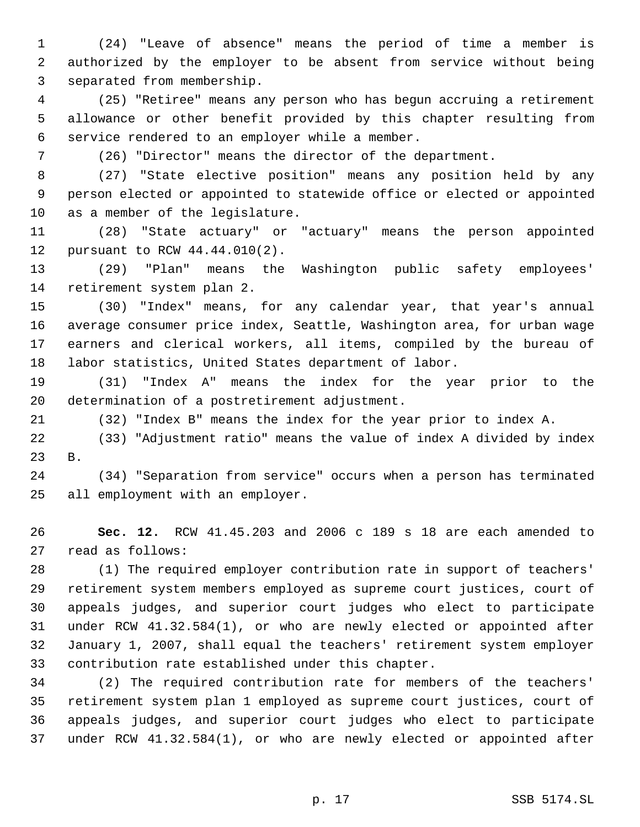(24) "Leave of absence" means the period of time a member is authorized by the employer to be absent from service without being separated from membership.

 (25) "Retiree" means any person who has begun accruing a retirement allowance or other benefit provided by this chapter resulting from service rendered to an employer while a member.

(26) "Director" means the director of the department.

 (27) "State elective position" means any position held by any person elected or appointed to statewide office or elected or appointed as a member of the legislature.

 (28) "State actuary" or "actuary" means the person appointed pursuant to RCW 44.44.010(2).

 (29) "Plan" means the Washington public safety employees' retirement system plan 2.

 (30) "Index" means, for any calendar year, that year's annual average consumer price index, Seattle, Washington area, for urban wage earners and clerical workers, all items, compiled by the bureau of labor statistics, United States department of labor.

 (31) "Index A" means the index for the year prior to the determination of a postretirement adjustment.

(32) "Index B" means the index for the year prior to index A.

 (33) "Adjustment ratio" means the value of index A divided by index B.

 (34) "Separation from service" occurs when a person has terminated all employment with an employer.

 **Sec. 12.** RCW 41.45.203 and 2006 c 189 s 18 are each amended to read as follows:

 (1) The required employer contribution rate in support of teachers' retirement system members employed as supreme court justices, court of appeals judges, and superior court judges who elect to participate under RCW 41.32.584(1), or who are newly elected or appointed after January 1, 2007, shall equal the teachers' retirement system employer contribution rate established under this chapter.

 (2) The required contribution rate for members of the teachers' retirement system plan 1 employed as supreme court justices, court of appeals judges, and superior court judges who elect to participate under RCW 41.32.584(1), or who are newly elected or appointed after